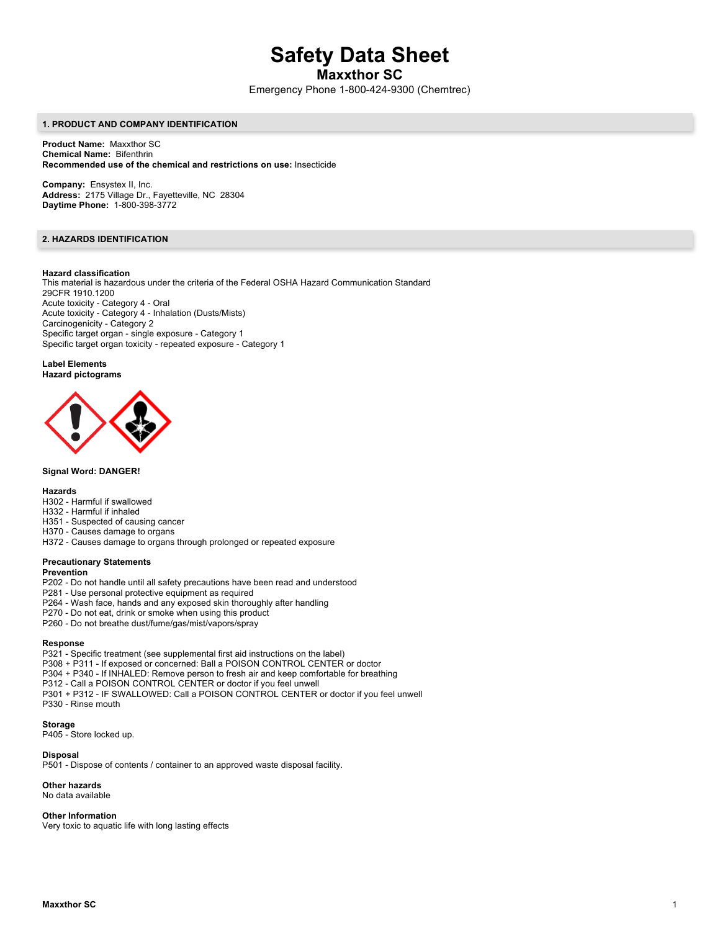# **Safety Data Sheet**

**Maxxthor SC**

Emergency Phone 1-800-424-9300 (Chemtrec)

### **1. PRODUCT AND COMPANY IDENTIFICATION**

**Product Name:** Maxxthor SC **Chemical Name:** Bifenthrin **Recommended use of the chemical and restrictions on use:** Insecticide

**Company:** Ensystex II, Inc. **Address:** 2175 Village Dr., Fayetteville, NC 28304 **Daytime Phone:** 1-800-398-3772

# **2. HAZARDS IDENTIFICATION**

#### **Hazard classification**

This material is hazardous under the criteria of the Federal OSHA Hazard Communication Standard 29CFR 1910.1200 Acute toxicity - Category 4 - Oral Acute toxicity - Category 4 - Inhalation (Dusts/Mists) Carcinogenicity - Category 2 Specific target organ - single exposure - Category 1 Specific target organ toxicity - repeated exposure - Category 1

#### **Label Elements Hazard pictograms**



#### **Signal Word: DANGER!**

#### **Hazards**

- H302 Harmful if swallowed
- H332 Harmful if inhaled
- H351 Suspected of causing cancer
- H370 Causes damage to organs
- H372 Causes damage to organs through prolonged or repeated exposure

# **Precautionary Statements**

#### **Prevention**

- P202 Do not handle until all safety precautions have been read and understood
- P281 Use personal protective equipment as required
- P264 Wash face, hands and any exposed skin thoroughly after handling
- P270 Do not eat, drink or smoke when using this product
- P260 Do not breathe dust/fume/gas/mist/vapors/spray

#### **Response**

- P321 Specific treatment (see supplemental first aid instructions on the label)
- P308 + P311 If exposed or concerned: Ball a POISON CONTROL CENTER or doctor
- P304 + P340 If INHALED: Remove person to fresh air and keep comfortable for breathing
- P312 Call a POISON CONTROL CENTER or doctor if you feel unwell
- P301 + P312 IF SWALLOWED: Call a POISON CONTROL CENTER or doctor if you feel unwell P330 - Rinse mouth

# **Storage**

P405 - Store locked up.

#### **Disposal**

P501 - Dispose of contents / container to an approved waste disposal facility.

### **Other hazards**

No data available

#### **Other Information**

Very toxic to aquatic life with long lasting effects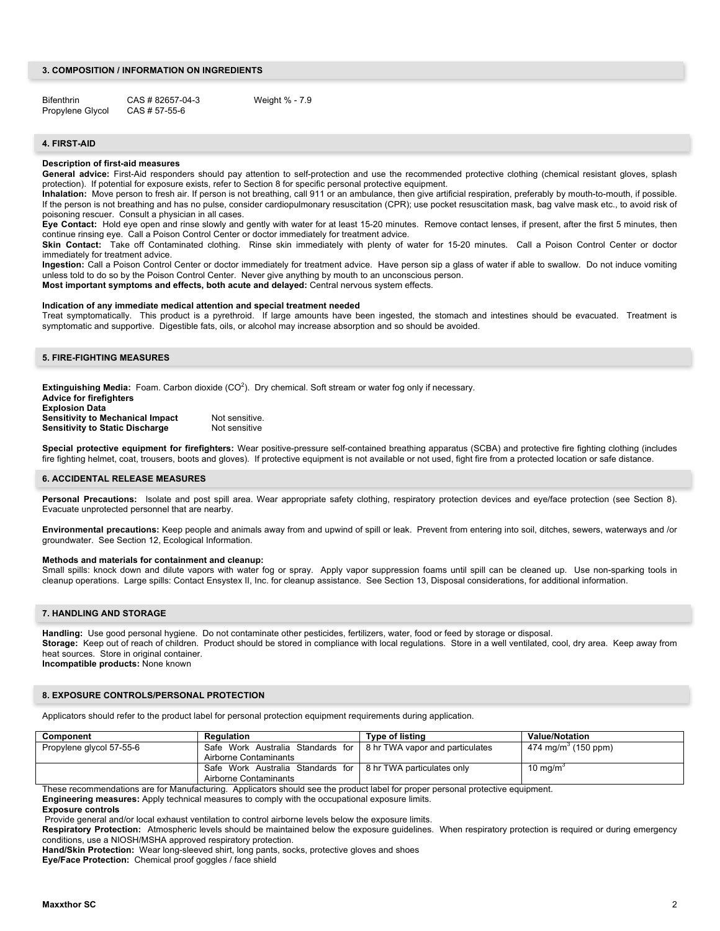# **3. COMPOSITION / INFORMATION ON INGREDIENTS**

Bifenthrin CAS # 82657-04-3 Weight % - 7.9 Propylene Glycol CAS # 57-55-6

# **4. FIRST-AID**

#### **Description of first-aid measures**

General advice: First-Aid responders should pay attention to self-protection and use the recommended protective clothing (chemical resistant gloves, splash protection). If potential for exposure exists, refer to Section 8 for specific personal protective equipment.

**Inhalation:** Move person to fresh air. If person is not breathing, call 911 or an ambulance, then give artificial respiration, preferably by mouth-to-mouth, if possible. If the person is not breathing and has no pulse, consider cardiopulmonary resuscitation (CPR); use pocket resuscitation mask, bag valve mask etc., to avoid risk of poisoning rescuer. Consult a physician in all cases.

**Eye Contact:** Hold eye open and rinse slowly and gently with water for at least 15-20 minutes. Remove contact lenses, if present, after the first 5 minutes, then continue rinsing eye. Call a Poison Control Center or doctor immediately for treatment advice.

**Skin Contact:** Take off Contaminated clothing. Rinse skin immediately with plenty of water for 15-20 minutes. Call a Poison Control Center or doctor immediately for treatment advice.

**Ingestion:** Call a Poison Control Center or doctor immediately for treatment advice. Have person sip a glass of water if able to swallow. Do not induce vomiting unless told to do so by the Poison Control Center. Never give anything by mouth to an unconscious person.

**Most important symptoms and effects, both acute and delayed:** Central nervous system effects.

#### **Indication of any immediate medical attention and special treatment needed**

Treat symptomatically. This product is a pyrethroid. If large amounts have been ingested, the stomach and intestines should be evacuated. Treatment is symptomatic and supportive. Digestible fats, oils, or alcohol may increase absorption and so should be avoided.

# **5. FIRE-FIGHTING MEASURES**

**Extinguishing Media:** Foam. Carbon dioxide (CO<sup>2</sup>). Dry chemical. Soft stream or water fog only if necessary.

| <b>Advice for firefighters</b>          |                |
|-----------------------------------------|----------------|
| <b>Explosion Data</b>                   |                |
| <b>Sensitivity to Mechanical Impact</b> | Not sensitive. |
| <b>Sensitivity to Static Discharge</b>  | Not sensitive  |

**Special protective equipment for firefighters:** Wear positive-pressure self-contained breathing apparatus (SCBA) and protective fire fighting clothing (includes fire fighting helmet, coat, trousers, boots and gloves). If protective equipment is not available or not used, fight fire from a protected location or safe distance.

### **6. ACCIDENTAL RELEASE MEASURES**

Personal Precautions: Isolate and post spill area. Wear appropriate safety clothing, respiratory protection devices and eye/face protection (see Section 8). Evacuate unprotected personnel that are nearby.

**Environmental precautions:** Keep people and animals away from and upwind of spill or leak. Prevent from entering into soil, ditches, sewers, waterways and /or groundwater. See Section 12, Ecological Information.

#### **Methods and materials for containment and cleanup:**

Small spills: knock down and dilute vapors with water fog or spray. Apply vapor suppression foams until spill can be cleaned up. Use non-sparking tools in cleanup operations. Large spills: Contact Ensystex II, Inc. for cleanup assistance. See Section 13, Disposal considerations, for additional information.

#### **7. HANDLING AND STORAGE**

**Handling:** Use good personal hygiene. Do not contaminate other pesticides, fertilizers, water, food or feed by storage or disposal. **Storage:** Keep out of reach of children. Product should be stored in compliance with local regulations. Store in a well ventilated, cool, dry area. Keep away from heat sources. Store in original container. **Incompatible products:** None known

#### **8. EXPOSURE CONTROLS/PERSONAL PROTECTION**

Applicators should refer to the product label for personal protection equipment requirements during application.

| Component                | Regulation                                                          | Type of listing | <b>Value/Notation</b>           |
|--------------------------|---------------------------------------------------------------------|-----------------|---------------------------------|
| Propylene glycol 57-55-6 | Safe Work Australia Standards for   8 hr TWA vapor and particulates |                 | 474 mg/m <sup>3</sup> (150 ppm) |
|                          | Airborne Contaminants                                               |                 |                                 |
|                          | Safe Work Australia Standards for   8 hr TWA particulates only      |                 | 10 mg/m <sup>3</sup>            |
|                          | Airborne Contaminants                                               |                 |                                 |

These recommendations are for Manufacturing. Applicators should see the product label for proper personal protective equipment.

**Engineering measures:** Apply technical measures to comply with the occupational exposure limits.

# **Exposure controls**

Provide general and/or local exhaust ventilation to control airborne levels below the exposure limits.

**Respiratory Protection:** Atmospheric levels should be maintained below the exposure guidelines. When respiratory protection is required or during emergency conditions, use a NIOSH/MSHA approved respiratory protection.

**Hand/Skin Protection:** Wear long-sleeved shirt, long pants, socks, protective gloves and shoes

**Eye/Face Protection:** Chemical proof goggles / face shield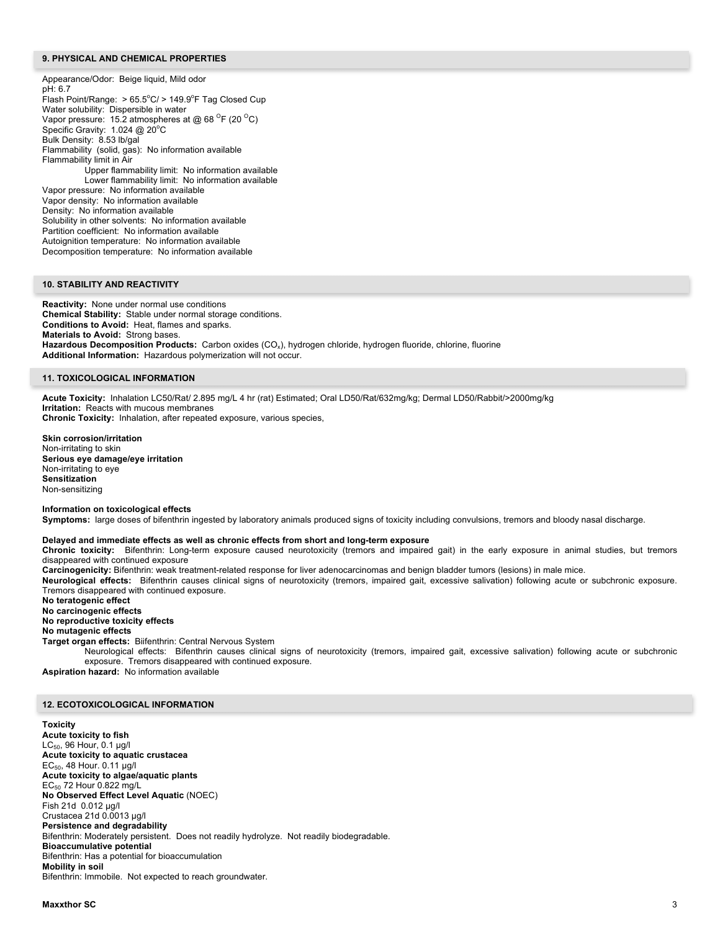#### **9. PHYSICAL AND CHEMICAL PROPERTIES**

Appearance/Odor: Beige liquid, Mild odor pH: 6.7 Flash Point/Range: > 65.5°C/ > 149.9°F Tag Closed Cup Water solubility: Dispersible in water Vapor pressure: 15.2 atmospheres at @ 68  $\mathrm{^{\circ}F}$  (20  $\mathrm{^{\circ}C}$ ) Specific Gravity: 1.024 @ 20°C Bulk Density: 8.53 lb/gal Flammability (solid, gas): No information available Flammability limit in Air Upper flammability limit: No information available Lower flammability limit: No information available Vapor pressure: No information available Vapor density: No information available Density: No information available Solubility in other solvents: No information available Partition coefficient: No information available Autoignition temperature: No information available Decomposition temperature: No information available

# **10. STABILITY AND REACTIVITY**

**Reactivity:** None under normal use conditions **Chemical Stability:** Stable under normal storage conditions. **Conditions to Avoid:** Heat, flames and sparks. **Materials to Avoid:** Strong bases. **Hazardous Decomposition Products:** Carbon oxides (CO<sub>x</sub>), hydrogen chloride, hydrogen fluoride, chlorine, fluorine **Additional Information:** Hazardous polymerization will not occur.

#### **11. TOXICOLOGICAL INFORMATION**

**Acute Toxicity:** Inhalation LC50/Rat/ 2.895 mg/L 4 hr (rat) Estimated; Oral LD50/Rat/632mg/kg; Dermal LD50/Rabbit/>2000mg/kg **Irritation:** Reacts with mucous membranes **Chronic Toxicity:** Inhalation, after repeated exposure, various species,

**Skin corrosion/irritation** Non-irritating to skin **Serious eye damage/eye irritation** Non-irritating to eye **Sensitization** Non-sensitizing

#### **Information on toxicological effects**

**Symptoms:** large doses of bifenthrin ingested by laboratory animals produced signs of toxicity including convulsions, tremors and bloody nasal discharge.

#### **Delayed and immediate effects as well as chronic effects from short and long-term exposure**

**Chronic toxicity:** Bifenthrin: Long-term exposure caused neurotoxicity (tremors and impaired gait) in the early exposure in animal studies, but tremors disappeared with continued exposure

**Carcinogenicity:** Bifenthrin: weak treatment-related response for liver adenocarcinomas and benign bladder tumors (lesions) in male mice.

**Neurological effects:** Bifenthrin causes clinical signs of neurotoxicity (tremors, impaired gait, excessive salivation) following acute or subchronic exposure. Tremors disappeared with continued exposure.

**No teratogenic effect No carcinogenic effects No reproductive toxicity effects No mutagenic effects Target organ effects:** Biifenthrin: Central Nervous System

Neurological effects: Bifenthrin causes clinical signs of neurotoxicity (tremors, impaired gait, excessive salivation) following acute or subchronic exposure. Tremors disappeared with continued exposure.

**Aspiration hazard:** No information available

# **12. ECOTOXICOLOGICAL INFORMATION**

**Toxicity Acute toxicity to fish** LC $_{50}$ , 96 Hour, 0.1 µg/l **Acute toxicity to aquatic crustacea** EC $_{50}$ , 48 Hour. 0.11 µg/l **Acute toxicity to algae/aquatic plants** EC50 72 Hour 0.822 mg/L **No Observed Effect Level Aquatic** (NOEC) Fish 21d 0.012 µg/l Crustacea 21d 0.0013 µg/l **Persistence and degradability** Bifenthrin: Moderately persistent. Does not readily hydrolyze. Not readily biodegradable. **Bioaccumulative potential** Bifenthrin: Has a potential for bioaccumulation **Mobility in soil** Bifenthrin: Immobile. Not expected to reach groundwater.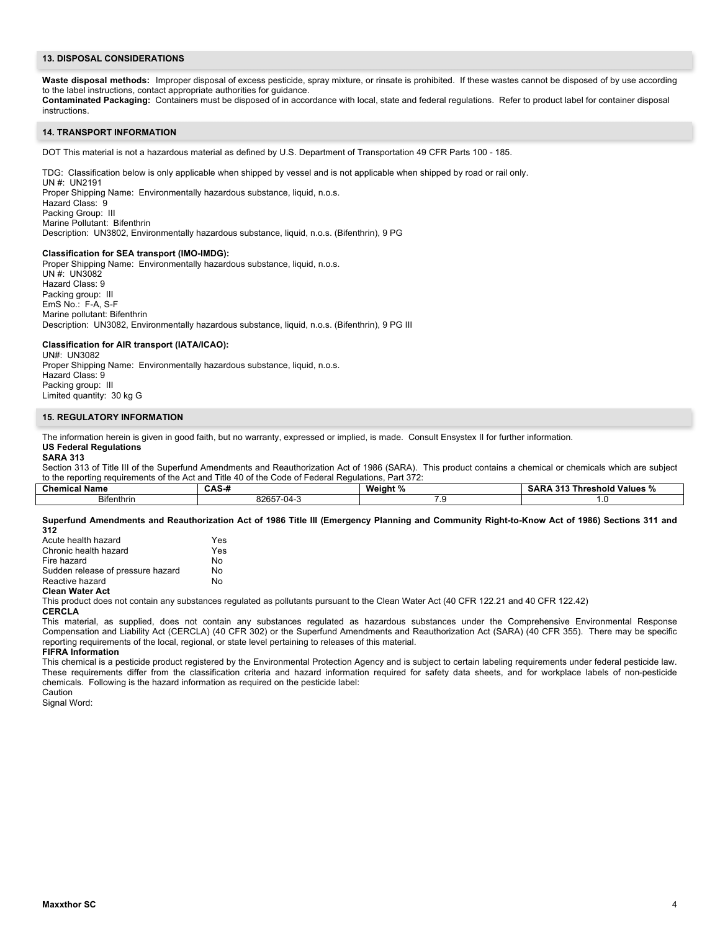# **13. DISPOSAL CONSIDERATIONS**

Waste disposal methods: Improper disposal of excess pesticide, spray mixture, or rinsate is prohibited. If these wastes cannot be disposed of by use according to the label instructions, contact appropriate authorities for guidance.

**Contaminated Packaging:** Containers must be disposed of in accordance with local, state and federal regulations. Refer to product label for container disposal instructions.

#### **14. TRANSPORT INFORMATION**

DOT This material is not a hazardous material as defined by U.S. Department of Transportation 49 CFR Parts 100 - 185.

TDG: Classification below is only applicable when shipped by vessel and is not applicable when shipped by road or rail only.

UN #: UN2191 Proper Shipping Name: Environmentally hazardous substance, liquid, n.o.s. Hazard Class: 9 Packing Group: III Marine Pollutant: Bifenthrin Description: UN3802, Environmentally hazardous substance, liquid, n.o.s. (Bifenthrin), 9 PG

#### **Classification for SEA transport (IMO-IMDG):**

Proper Shipping Name: Environmentally hazardous substance, liquid, n.o.s. UN #: UN3082 Hazard Class: 9 Packing group: III EmS No.: F-A, S-F Marine pollutant: Bifenthrin Description: UN3082, Environmentally hazardous substance, liquid, n.o.s. (Bifenthrin), 9 PG III

# **Classification for AIR transport (IATA/ICAO):**

UN#: UN3082 Proper Shipping Name: Environmentally hazardous substance, liquid, n.o.s. Hazard Class: 9 Packing group: III Limited quantity: 30 kg G

#### **15. REGULATORY INFORMATION**

The information herein is given in good faith, but no warranty, expressed or implied, is made. Consult Ensystex II for further information. **US Federal Regulations**

# **SARA 313**

Section 313 of Title III of the Superfund Amendments and Reauthorization Act of 1986 (SARA). This product contains a chemical or chemicals which are subject to the reporting requirements of the Act and Title 40 of the Code of Federal Regulations, Part 372:

| Chemical<br>' Name | --<br>. .<br>rw       | Weiahı<br>7 U   | 94<br>Values<br>I nresnoid<br>SА.<br>.<br>. |
|--------------------|-----------------------|-----------------|---------------------------------------------|
| Bifenthrin         | - 14 -<br>82657<br>-ט | $\sim$ . $\sim$ | .                                           |

**Superfund Amendments and Reauthorization Act of 1986 Title III (Emergency Planning and Community Right-to-Know Act of 1986) Sections 311 and 312**

| Acute health hazard               | Yes |
|-----------------------------------|-----|
| Chronic health hazard             | Yes |
| Fire hazard                       | N٥  |
| Sudden release of pressure hazard | N٥  |
| Reactive hazard                   | N٥  |
| Closn Water Act                   |     |

# **Clean Water Act**

This product does not contain any substances regulated as pollutants pursuant to the Clean Water Act (40 CFR 122.21 and 40 CFR 122.42) **CERCLA**

This material, as supplied, does not contain any substances regulated as hazardous substances under the Comprehensive Environmental Response Compensation and Liability Act (CERCLA) (40 CFR 302) or the Superfund Amendments and Reauthorization Act (SARA) (40 CFR 355). There may be specific reporting requirements of the local, regional, or state level pertaining to releases of this material.

**FIFRA Information** This chemical is a pesticide product registered by the Environmental Protection Agency and is subject to certain labeling requirements under federal pesticide law. These requirements differ from the classification criteria and hazard information required for safety data sheets, and for workplace labels of non-pesticide chemicals. Following is the hazard information as required on the pesticide label:

Caution

Signal Word: